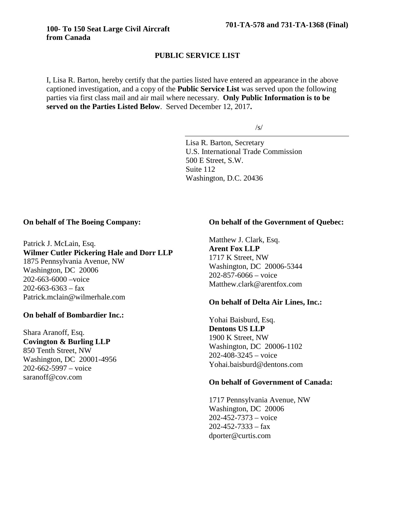# **PUBLIC SERVICE LIST**

I, Lisa R. Barton, hereby certify that the parties listed have entered an appearance in the above captioned investigation, and a copy of the **Public Service List** was served upon the following parties via first class mail and air mail where necessary. **Only Public Information is to be served on the Parties Listed Below**. Served December 12, 2017**.**

/s/

Lisa R. Barton, Secretary U.S. International Trade Commission 500 E Street, S.W. Suite 112 Washington, D.C. 20436

#### **On behalf of The Boeing Company:**

Patrick J. McLain, Esq. **Wilmer Cutler Pickering Hale and Dorr LLP** 1875 Pennsylvania Avenue, NW Washington, DC 20006 202-663-6000 –voice  $202 - 663 - 6363 - fax$ Patrick.mclain@wilmerhale.com

#### **On behalf of Bombardier Inc.:**

Shara Aranoff, Esq. **Covington & Burling LLP** 850 Tenth Street, NW Washington, DC 20001-4956 202-662-5997 – voice saranoff@cov.com

# **On behalf of the Government of Quebec:**

Matthew J. Clark, Esq. **Arent Fox LLP** 1717 K Street, NW Washington, DC 20006-5344 202-857-6066 – voice Matthew.clark@arentfox.com

#### **On behalf of Delta Air Lines, Inc.:**

Yohai Baisburd, Esq. **Dentons US LLP** 1900 K Street, NW Washington, DC 20006-1102 202-408-3245 – voice Yohai.baisburd@dentons.com

#### **On behalf of Government of Canada:**

1717 Pennsylvania Avenue, NW Washington, DC 20006 202-452-7373 – voice  $202 - 452 - 7333 - fax$ dporter@curtis.com